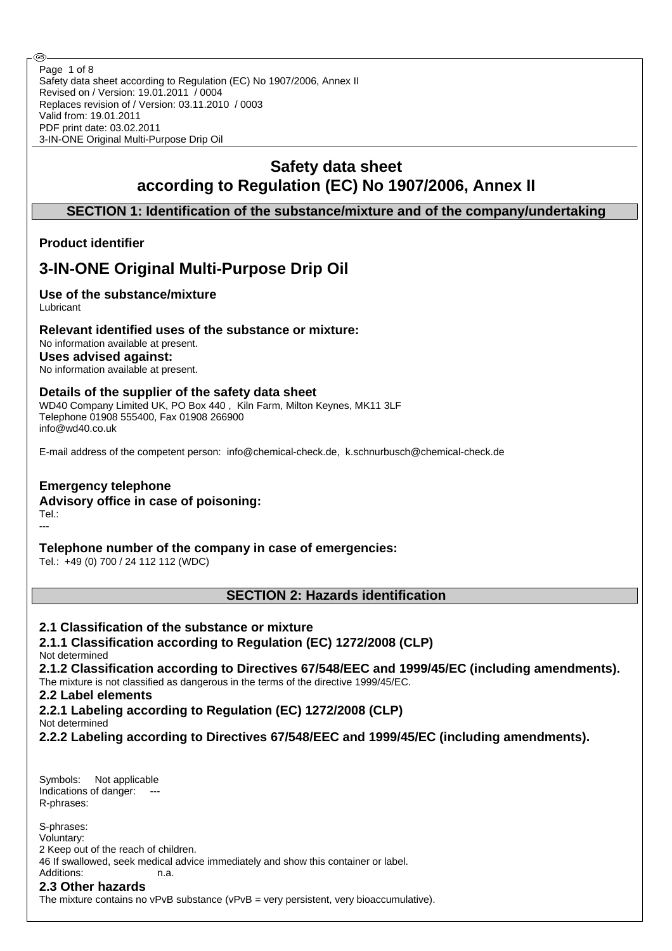Safety data sheet according to Regulation (EC) No 1907/2006, Annex II Revised on / Version: 19.01.2011 / 0004 Replaces revision of / Version: 03.11.2010 / 0003 Valid from: 19.01.2011 PDF print date: 03.02.2011 3-IN-ONE Original Multi-Purpose Drip Oil Page 1 of 8

# **Safety data sheet according to Regulation (EC) No 1907/2006, Annex II**

# **SECTION 1: Identification of the substance/mixture and of the company/undertaking**

# **Product identifier**

# **3-IN-ONE Original Multi-Purpose Drip Oil**

# **Use of the substance/mixture**

Lubricant

## **Relevant identified uses of the substance or mixture:**

No information available at present. **Uses advised against:** No information available at present.

#### **Details of the supplier of the safety data sheet**

WD40 Company Limited UK, PO Box 440 , Kiln Farm, Milton Keynes, MK11 3LF Telephone 01908 555400, Fax 01908 266900 info@wd40.co.uk

E-mail address of the competent person: info@chemical-check.de, k.schnurbusch@chemical-check.de

# **Emergency telephone**

## **Advisory office in case of poisoning:**

Tel.: ---

# **Telephone number of the company in case of emergencies:**

Tel.: +49 (0) 700 / 24 112 112 (WDC)

**SECTION 2: Hazards identification**

## **2.1 Classification of the substance or mixture**

# **2.1.1 Classification according to Regulation (EC) 1272/2008 (CLP)**

Not determined

**2.1.2 Classification according to Directives 67/548/EEC and 1999/45/EC (including amendments).**

The mixture is not classified as dangerous in the terms of the directive 1999/45/EC.

# **2.2 Label elements**

**2.2.1 Labeling according to Regulation (EC) 1272/2008 (CLP)**

Not determined

**2.2.2 Labeling according to Directives 67/548/EEC and 1999/45/EC (including amendments).**

Symbols: Not applicable Indications of danger: R-phrases:

S-phrases: Voluntary: 2 Keep out of the reach of children. 46 If swallowed, seek medical advice immediately and show this container or label. Additions: n.a.

# **2.3 Other hazards**

The mixture contains no  $vPvB$  substance  $(vPvB = very$  persistent, very bioaccumulative).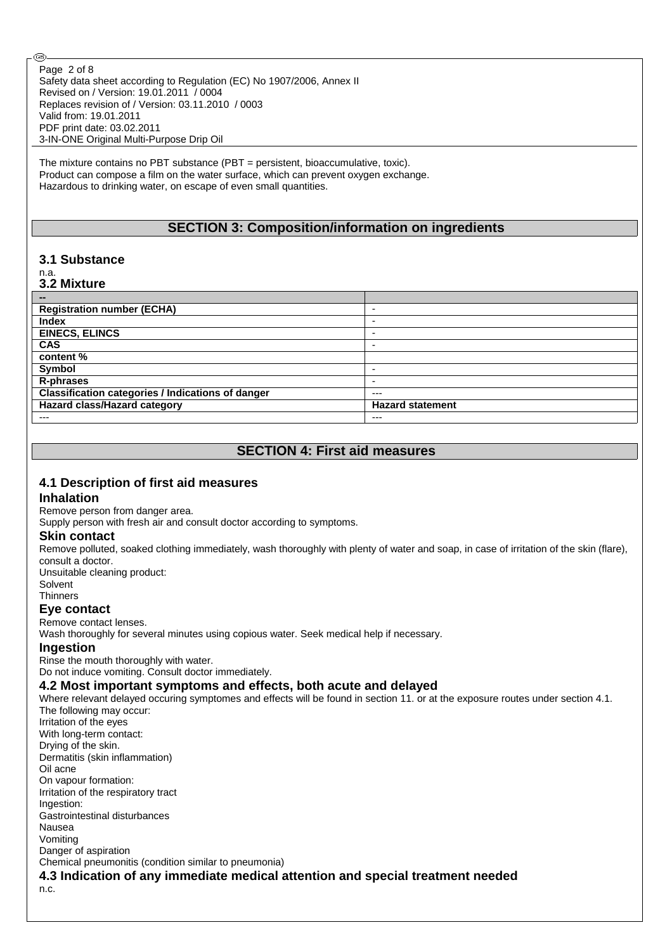Safety data sheet according to Regulation (EC) No 1907/2006, Annex II Revised on / Version: 19.01.2011 / 0004 Replaces revision of / Version: 03.11.2010 / 0003 Valid from: 19.01.2011 PDF print date: 03.02.2011 3-IN-ONE Original Multi-Purpose Drip Oil Page 2 of 8

The mixture contains no PBT substance (PBT = persistent, bioaccumulative, toxic). Product can compose a film on the water surface, which can prevent oxygen exchange. Hazardous to drinking water, on escape of even small quantities.

## **SECTION 3: Composition/information on ingredients**

## **3.1 Substance**

#### n.a. **3.2 Mixture**

Œ,

| --                                                       |                         |
|----------------------------------------------------------|-------------------------|
| <b>Registration number (ECHA)</b>                        |                         |
| <b>Index</b>                                             | -                       |
| <b>EINECS, ELINCS</b>                                    | -                       |
| <b>CAS</b>                                               | -                       |
| content %                                                |                         |
| Symbol                                                   | -                       |
| R-phrases                                                |                         |
| <b>Classification categories / Indications of danger</b> | $---$                   |
| Hazard class/Hazard category                             | <b>Hazard statement</b> |
| ---                                                      | ---                     |

# **SECTION 4: First aid measures**

#### **4.1 Description of first aid measures**

#### **Inhalation**

Remove person from danger area.

Supply person with fresh air and consult doctor according to symptoms.

#### **Skin contact**

Remove polluted, soaked clothing immediately, wash thoroughly with plenty of water and soap, in case of irritation of the skin (flare), consult a doctor.

Unsuitable cleaning product:

Solvent

# **Thinners**

**Eye contact**

Remove contact lenses.

Wash thoroughly for several minutes using copious water. Seek medical help if necessary.

### **Ingestion**

Rinse the mouth thoroughly with water.

Do not induce vomiting. Consult doctor immediately.

#### **4.2 Most important symptoms and effects, both acute and delayed**

Where relevant delayed occuring symptomes and effects will be found in section 11. or at the exposure routes under section 4.1. The following may occur: Irritation of the eyes With long-term contact: Drying of the skin. Dermatitis (skin inflammation) Oil acne On vapour formation: Irritation of the respiratory tract Ingestion: Gastrointestinal disturbances Nausea Vomiting Danger of aspiration Chemical pneumonitis (condition similar to pneumonia) **4.3 Indication of any immediate medical attention and special treatment needed** n.c.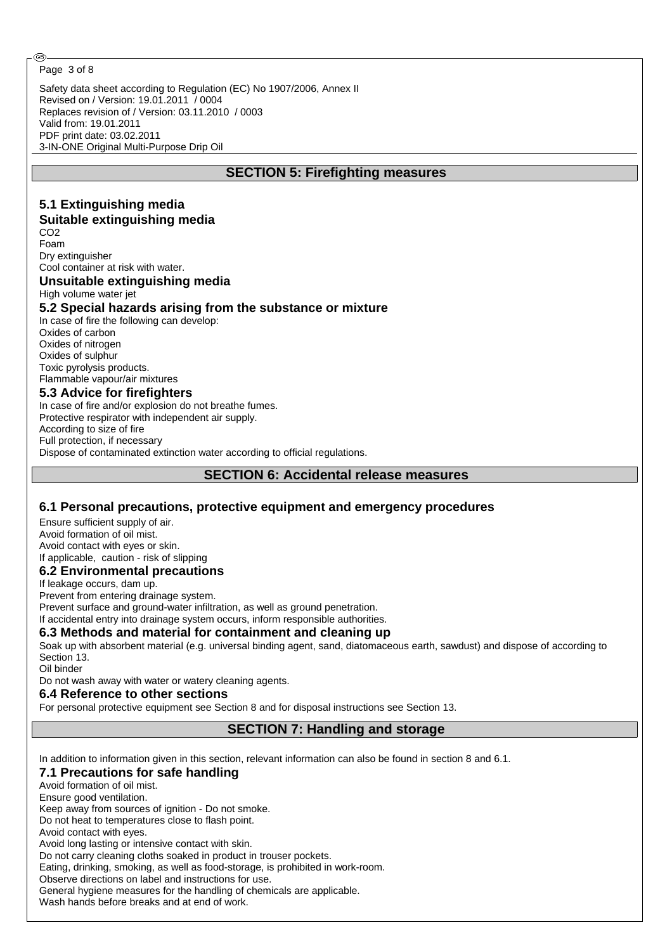#### Page 3 of 8

Safety data sheet according to Regulation (EC) No 1907/2006, Annex II Revised on / Version: 19.01.2011 / 0004 Replaces revision of / Version: 03.11.2010 / 0003 Valid from: 19.01.2011 PDF print date: 03.02.2011 3-IN-ONE Original Multi-Purpose Drip Oil

## **SECTION 5: Firefighting measures**

#### **5.1 Extinguishing media Suitable extinguishing media** CO<sub>2</sub> Foam Dry extinguisher Cool container at risk with water. **Unsuitable extinguishing media** High volume water jet **5.2 Special hazards arising from the substance or mixture** In case of fire the following can develop: Oxides of carbon Oxides of nitrogen Oxides of sulphur Toxic pyrolysis products. Flammable vapour/air mixtures **5.3 Advice for firefighters** In case of fire and/or explosion do not breathe fumes. Protective respirator with independent air supply. According to size of fire Full protection, if necessary Dispose of contaminated extinction water according to official regulations. **SECTION 6: Accidental release measures**

## **6.1 Personal precautions, protective equipment and emergency procedures**

Ensure sufficient supply of air. Avoid formation of oil mist. Avoid contact with eyes or skin. If applicable, caution - risk of slipping **6.2 Environmental precautions** If leakage occurs, dam up. Prevent from entering drainage system. Prevent surface and ground-water infiltration, as well as ground penetration. If accidental entry into drainage system occurs, inform responsible authorities. **6.3 Methods and material for containment and cleaning up** Soak up with absorbent material (e.g. universal binding agent, sand, diatomaceous earth, sawdust) and dispose of according to Section 13. Oil binder

Do not wash away with water or watery cleaning agents.

#### **6.4 Reference to other sections**

For personal protective equipment see Section 8 and for disposal instructions see Section 13.

**SECTION 7: Handling and storage**

In addition to information given in this section, relevant information can also be found in section 8 and 6.1.

#### **7.1 Precautions for safe handling**

Avoid formation of oil mist.

Ensure good ventilation.

Keep away from sources of ignition - Do not smoke.

Do not heat to temperatures close to flash point.

Avoid contact with eyes.

Avoid long lasting or intensive contact with skin.

Do not carry cleaning cloths soaked in product in trouser pockets.

Eating, drinking, smoking, as well as food-storage, is prohibited in work-room.

Observe directions on label and instructions for use.

General hygiene measures for the handling of chemicals are applicable.

Wash hands before breaks and at end of work.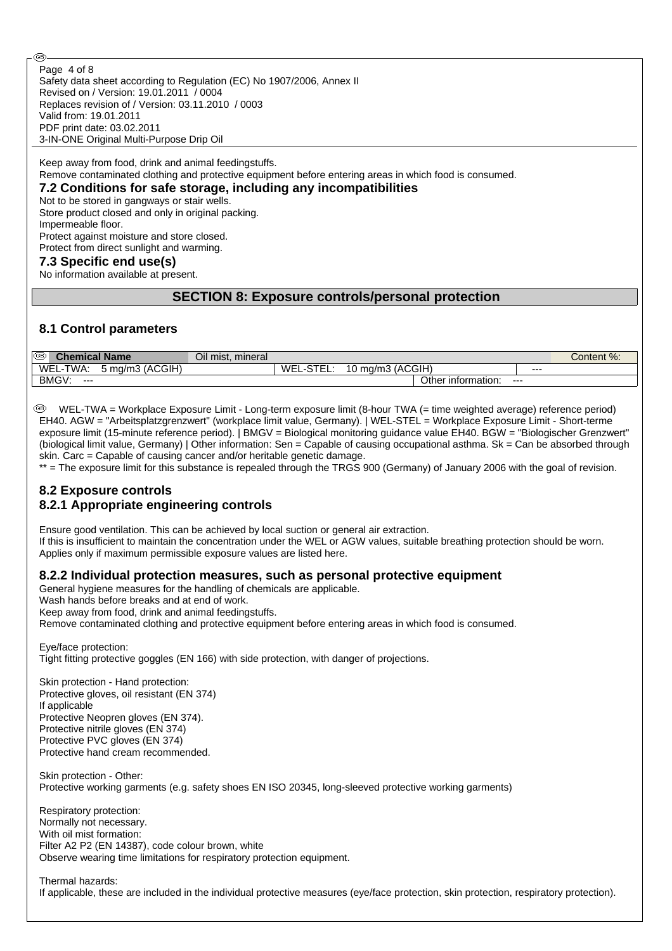Safety data sheet according to Regulation (EC) No 1907/2006, Annex II Revised on / Version: 19.01.2011 / 0004 Replaces revision of / Version: 03.11.2010 / 0003 Valid from: 19.01.2011 PDF print date: 03.02.2011 3-IN-ONE Original Multi-Purpose Drip Oil Page 4 of 8

Keep away from food, drink and animal feedingstuffs. Remove contaminated clothing and protective equipment before entering areas in which food is consumed.

# **7.2 Conditions for safe storage, including any incompatibilities**

Not to be stored in gangways or stair wells.

Store product closed and only in original packing. Impermeable floor.

Protect against moisture and store closed. Protect from direct sunlight and warming.

### **7.3 Specific end use(s)**

Œ,

No information available at present.

## **SECTION 8: Exposure controls/personal protection**

#### **8.1 Control parameters**

| ☜<br>$\omega$ hemical Name $\omega$ |                          | Oil mist, mineral |           |                      |                    |     | Content %: |
|-------------------------------------|--------------------------|-------------------|-----------|----------------------|--------------------|-----|------------|
| WEL<br>TWA.                         | (ACGIH)<br>ma/m3<br>,,,, |                   | WEL<br>__ | ;(ACGIH)<br>∫ma/m. ، |                    | --- |            |
| BMGV:<br>$- - -$                    |                          |                   |           |                      | Other information: | --- |            |

 WEL-TWA = Workplace Exposure Limit - Long-term exposure limit (8-hour TWA (= time weighted average) reference period) EH40. AGW = "Arbeitsplatzgrenzwert" (workplace limit value, Germany). | WEL-STEL = Workplace Exposure Limit - Short-terme exposure limit (15-minute reference period). | BMGV = Biological monitoring guidance value EH40. BGW = "Biologischer Grenzwert" (biological limit value, Germany) | Other information: Sen = Capable of causing occupational asthma. Sk = Can be absorbed through skin. Carc = Capable of causing cancer and/or heritable genetic damage.

\*\* = The exposure limit for this substance is repealed through the TRGS 900 (Germany) of January 2006 with the goal of revision.

#### **8.2 Exposure controls 8.2.1 Appropriate engineering controls**

Ensure good ventilation. This can be achieved by local suction or general air extraction. If this is insufficient to maintain the concentration under the WEL or AGW values, suitable breathing protection should be worn. Applies only if maximum permissible exposure values are listed here.

#### **8.2.2 Individual protection measures, such as personal protective equipment**

General hygiene measures for the handling of chemicals are applicable.

Wash hands before breaks and at end of work.

Keep away from food, drink and animal feedingstuffs.

Remove contaminated clothing and protective equipment before entering areas in which food is consumed.

Eye/face protection:

Tight fitting protective goggles (EN 166) with side protection, with danger of projections.

Skin protection - Hand protection: Protective gloves, oil resistant (EN 374) If applicable Protective Neopren gloves (EN 374). Protective nitrile gloves (EN 374) Protective PVC gloves (EN 374) Protective hand cream recommended.

Skin protection - Other: Protective working garments (e.g. safety shoes EN ISO 20345, long-sleeved protective working garments)

Respiratory protection: Normally not necessary. With oil mist formation: Filter A2 P2 (EN 14387), code colour brown, white Observe wearing time limitations for respiratory protection equipment.

#### Thermal hazards:

If applicable, these are included in the individual protective measures (eye/face protection, skin protection, respiratory protection).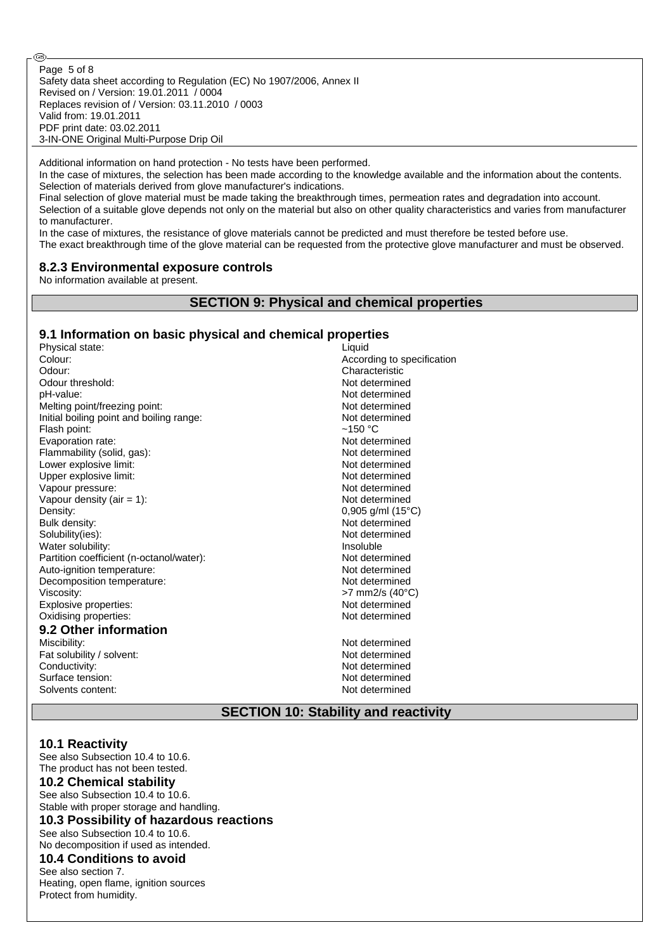Safety data sheet according to Regulation (EC) No 1907/2006, Annex II Revised on / Version: 19.01.2011 / 0004 Replaces revision of / Version: 03.11.2010 / 0003 Valid from: 19.01.2011 PDF print date: 03.02.2011 3-IN-ONE Original Multi-Purpose Drip Oil Page 5 of 8

Additional information on hand protection - No tests have been performed.

In the case of mixtures, the selection has been made according to the knowledge available and the information about the contents. Selection of materials derived from glove manufacturer's indications.

Final selection of glove material must be made taking the breakthrough times, permeation rates and degradation into account. Selection of a suitable glove depends not only on the material but also on other quality characteristics and varies from manufacturer to manufacturer.

In the case of mixtures, the resistance of glove materials cannot be predicted and must therefore be tested before use.

The exact breakthrough time of the glove material can be requested from the protective glove manufacturer and must be observed.

#### **8.2.3 Environmental exposure controls**

No information available at present.

Œ,

#### **SECTION 9: Physical and chemical properties**

#### **9.1 Information on basic physical and chemical properties**

| Physical state:                          | Liquid                     |
|------------------------------------------|----------------------------|
| Colour:                                  | According to specification |
| Odour:                                   | Characteristic             |
| Odour threshold:                         | Not determined             |
| pH-value:                                | Not determined             |
| Melting point/freezing point:            | Not determined             |
| Initial boiling point and boiling range: | Not determined             |
| Flash point:                             | $~150~^{\circ}$ C          |
| Evaporation rate:                        | Not determined             |
| Flammability (solid, gas):               | Not determined             |
| Lower explosive limit:                   | Not determined             |
| Upper explosive limit:                   | Not determined             |
| Vapour pressure:                         | Not determined             |
| Vapour density (air $= 1$ ):             | Not determined             |
| Density:                                 | 0,905 g/ml (15°C)          |
| Bulk density:                            | Not determined             |
| Solubility(ies):                         | Not determined             |
| Water solubility:                        | Insoluble                  |
| Partition coefficient (n-octanol/water): | Not determined             |
| Auto-ignition temperature:               | Not determined             |
| Decomposition temperature:               | Not determined             |
| Viscosity:                               | >7 mm2/s (40°C)            |
| Explosive properties:                    | Not determined             |
| Oxidising properties:                    | Not determined             |
| 9.2 Other information                    |                            |
| Miscibility:                             | Not determined             |
| Fat solubility / solvent:                | Not determined             |
| Conductivity:                            | Not determined             |
| Surface tension:                         | Not determined             |
| Solvents content:                        | Not determined             |
|                                          |                            |

#### **SECTION 10: Stability and reactivity**

#### **10.1 Reactivity**

See also Subsection 10.4 to 10.6. The product has not been tested.

# **10.2 Chemical stability**

See also Subsection 10.4 to 10.6. Stable with proper storage and handling. **10.3 Possibility of hazardous reactions**

See also Subsection 10.4 to 10.6. No decomposition if used as intended.

#### **10.4 Conditions to avoid**

See also section 7. Heating, open flame, ignition sources Protect from humidity.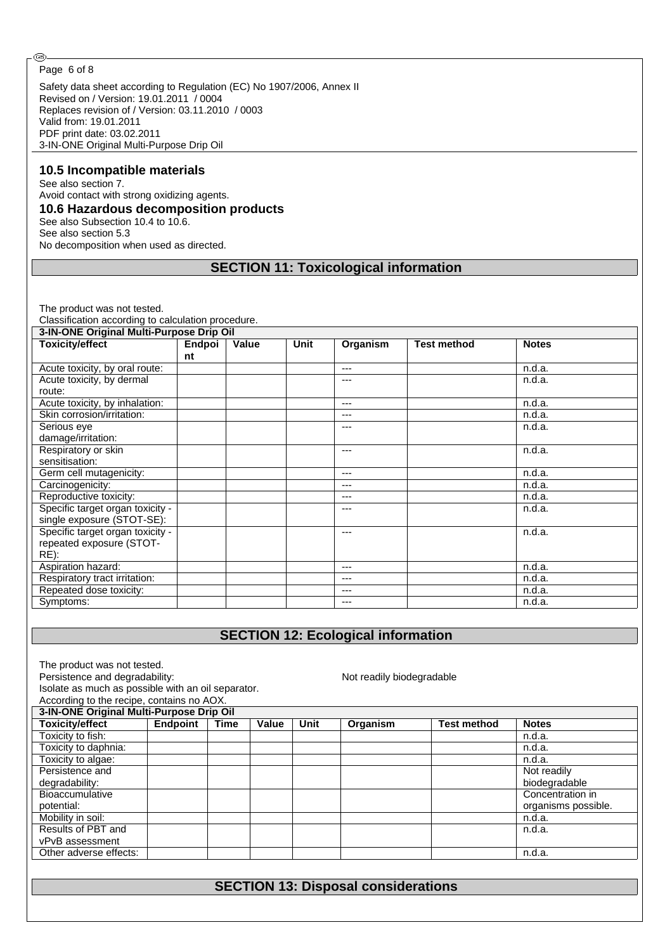#### Page 6 of 8

⊛

Safety data sheet according to Regulation (EC) No 1907/2006, Annex II Revised on / Version: 19.01.2011 / 0004 Replaces revision of / Version: 03.11.2010 / 0003 Valid from: 19.01.2011 PDF print date: 03.02.2011 3-IN-ONE Original Multi-Purpose Drip Oil

#### **10.5 Incompatible materials**

See also section 7. Avoid contact with strong oxidizing agents. **10.6 Hazardous decomposition products** See also Subsection 10.4 to 10.6. See also section 5.3

No decomposition when used as directed.

### **SECTION 11: Toxicological information**

The product was not tested.

Classification according to calculation procedure.

| 3-IN-ONE Original Multi-Purpose Drip Oil |        |       |      |          |                    |              |
|------------------------------------------|--------|-------|------|----------|--------------------|--------------|
| Toxicity/effect                          | Endpoi | Value | Unit | Organism | <b>Test method</b> | <b>Notes</b> |
|                                          | nt     |       |      |          |                    |              |
| Acute toxicity, by oral route:           |        |       |      | $---$    |                    | n.d.a.       |
| Acute toxicity, by dermal                |        |       |      | ---      |                    | n.d.a.       |
| route:                                   |        |       |      |          |                    |              |
| Acute toxicity, by inhalation:           |        |       |      | $- - -$  |                    | n.d.a.       |
| Skin corrosion/irritation:               |        |       |      | $---$    |                    | n.d.a.       |
| Serious eye                              |        |       |      | ---      |                    | n.d.a.       |
| damage/irritation:                       |        |       |      |          |                    |              |
| Respiratory or skin                      |        |       |      | $- - -$  |                    | n.d.a.       |
| sensitisation:                           |        |       |      |          |                    |              |
| Germ cell mutagenicity:                  |        |       |      | $- - -$  |                    | n.d.a.       |
| Carcinogenicity:                         |        |       |      | ---      |                    | n.d.a.       |
| Reproductive toxicity:                   |        |       |      | $- - -$  |                    | n.d.a.       |
| Specific target organ toxicity -         |        |       |      | ---      |                    | n.d.a.       |
| single exposure (STOT-SE):               |        |       |      |          |                    |              |
| Specific target organ toxicity -         |        |       |      | ---      |                    | n.d.a.       |
| repeated exposure (STOT-                 |        |       |      |          |                    |              |
| RE):                                     |        |       |      |          |                    |              |
| Aspiration hazard:                       |        |       |      | $- - -$  |                    | n.d.a.       |
| Respiratory tract irritation:            |        |       |      | $---$    |                    | n.d.a.       |
| Repeated dose toxicity:                  |        |       |      | ---      |                    | n.d.a.       |
| Symptoms:                                |        |       |      | $---$    |                    | n.d.a.       |

# **SECTION 12: Ecological information**

|  | The product was not tested. |  |
|--|-----------------------------|--|
|  |                             |  |

Persistence and degradability: Not readily biodegradable

Isolate as much as possible with an oil separator. According to the recipe, contains no AOX.

| According to the recipe, contains no AOA.<br>3-IN-ONE Original Multi-Purpose Drip Oil |          |      |       |      |          |                    |                     |
|---------------------------------------------------------------------------------------|----------|------|-------|------|----------|--------------------|---------------------|
| <b>Toxicity/effect</b>                                                                | Endpoint | Time | Value | Unit | Organism | <b>Test method</b> | <b>Notes</b>        |
| Toxicity to fish:                                                                     |          |      |       |      |          |                    | n.d.a.              |
| Toxicity to daphnia:                                                                  |          |      |       |      |          |                    | n.d.a.              |
| Toxicity to algae:                                                                    |          |      |       |      |          |                    | n.d.a.              |
| Persistence and                                                                       |          |      |       |      |          |                    | Not readily         |
| degradability:                                                                        |          |      |       |      |          |                    | biodegradable       |
| <b>Bioaccumulative</b>                                                                |          |      |       |      |          |                    | Concentration in    |
| potential:                                                                            |          |      |       |      |          |                    | organisms possible. |
| Mobility in soil:                                                                     |          |      |       |      |          |                    | n.d.a.              |
| Results of PBT and                                                                    |          |      |       |      |          |                    | n.d.a.              |
| vPvB assessment                                                                       |          |      |       |      |          |                    |                     |
| Other adverse effects:                                                                |          |      |       |      |          |                    | n.d.a.              |

# **SECTION 13: Disposal considerations**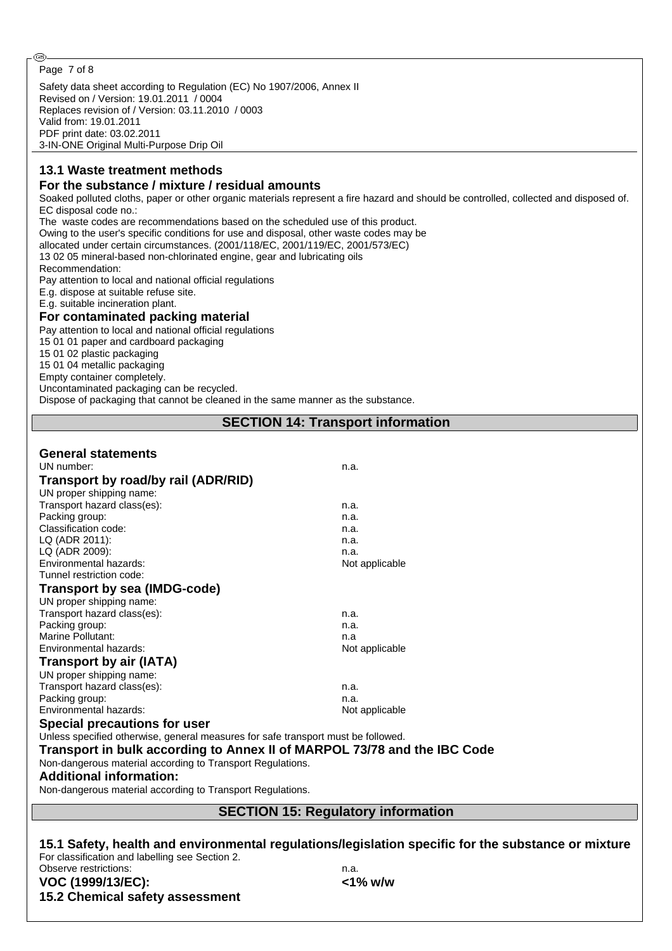#### Page 7 of 8

Safety data sheet according to Regulation (EC) No 1907/2006, Annex II Revised on / Version: 19.01.2011 / 0004 Replaces revision of / Version: 03.11.2010 / 0003 Valid from: 19.01.2011 PDF print date: 03.02.2011 3-IN-ONE Original Multi-Purpose Drip Oil

## **13.1 Waste treatment methods**

## **For the substance / mixture / residual amounts**

Soaked polluted cloths, paper or other organic materials represent a fire hazard and should be controlled, collected and disposed of. EC disposal code no.:

The waste codes are recommendations based on the scheduled use of this product.

Owing to the user's specific conditions for use and disposal, other waste codes may be

allocated under certain circumstances. (2001/118/EC, 2001/119/EC, 2001/573/EC)

13 02 05 mineral-based non-chlorinated engine, gear and lubricating oils

Recommendation:

Pay attention to local and national official regulations

E.g. dispose at suitable refuse site.

E.g. suitable incineration plant.

#### **For contaminated packing material**

Pay attention to local and national official regulations

15 01 01 paper and cardboard packaging

15 01 02 plastic packaging

15 01 04 metallic packaging

Empty container completely.

Uncontaminated packaging can be recycled. Dispose of packaging that cannot be cleaned in the same manner as the substance.

**SECTION 14: Transport information**

## **General statements**

| UN number:                                                                        | n.a.           |
|-----------------------------------------------------------------------------------|----------------|
| Transport by road/by rail (ADR/RID)                                               |                |
| UN proper shipping name:                                                          |                |
| Transport hazard class(es):                                                       | n.a.           |
| Packing group:                                                                    | n.a.           |
| Classification code:                                                              | n.a.           |
| LQ (ADR 2011):                                                                    | n.a.           |
| LQ (ADR 2009):                                                                    | n.a.           |
| Environmental hazards:                                                            | Not applicable |
| Tunnel restriction code:                                                          |                |
| Transport by sea (IMDG-code)                                                      |                |
| UN proper shipping name:                                                          |                |
| Transport hazard class(es):                                                       | n.a.           |
| Packing group:                                                                    | n.a.           |
| Marine Pollutant:                                                                 | n.a            |
| Environmental hazards:                                                            | Not applicable |
| Transport by air (IATA)                                                           |                |
| UN proper shipping name:                                                          |                |
| Transport hazard class(es):                                                       | n.a.           |
| Packing group:                                                                    | n.a.           |
| Environmental hazards:                                                            | Not applicable |
| Special precautions for user                                                      |                |
| Unless specified otherwise, general measures for safe transport must be followed. |                |
| Transport in bulk according to Annex II of MARPOL 73/78 and the IBC Code          |                |
| Non-dangerous material according to Transport Regulations.                        |                |
| <b>Additional information:</b>                                                    |                |
|                                                                                   |                |

Non-dangerous material according to Transport Regulations.

## **SECTION 15: Regulatory information**

**15.1 Safety, health and environmental regulations/legislation specific for the substance or mixture** For classification and labelling see Section 2. Observe restrictions: n.a.

**VOC (1999/13/EC): <1% w/w 15.2 Chemical safety assessment**